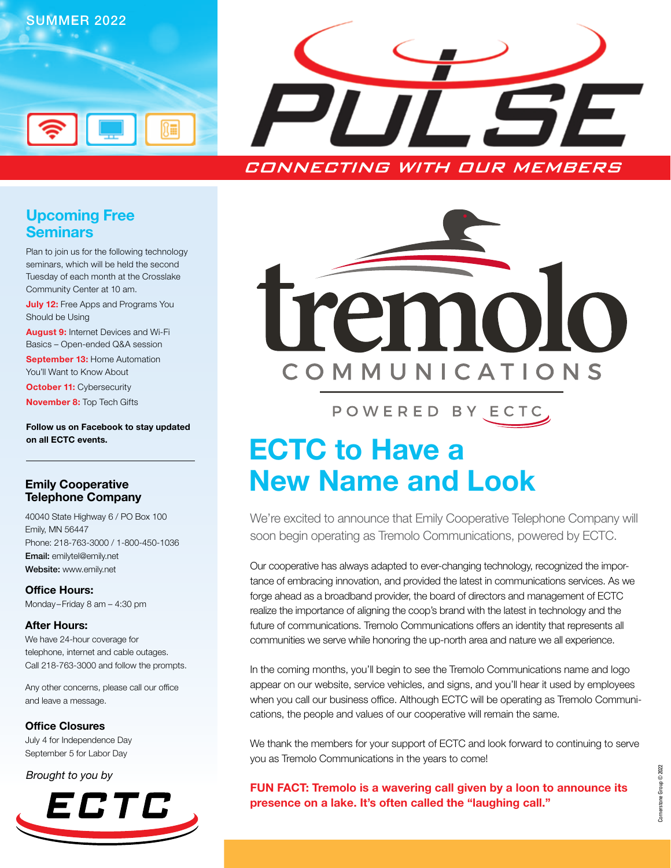

### Upcoming Free Seminars

Plan to join us for the following technology seminars, which will be held the second Tuesday of each month at the Crosslake Community Center at 10 am.

**July 12:** Free Apps and Programs You Should be Using

August 9: Internet Devices and Wi-Fi Basics – Open-ended Q&A session

September 13: Home Automation You'll Want to Know About

**October 11: Cybersecurity** 

November 8: Top Tech Gifts

Follow us on Facebook to stay updated on all ECTC events.

#### Emily Cooperative Telephone Company

40040 State Highway 6 / PO Box 100 Emily, MN 56447 Phone: 218-763-3000 / 1-800-450-1036 Email: emilytel@emily.net Website: www.emily.net

Office Hours: Monday–Friday 8 am – 4:30 pm

#### After Hours:

We have 24-hour coverage for telephone, internet and cable outages. Call 218-763-3000 and follow the prompts.

Any other concerns, please call our office and leave a message.

Office Closures July 4 for Independence Day September 5 for Labor Day

*Brought to you by*





POWERED BY ECTC

# ECTC to Have a New Name and Look

We're excited to announce that Emily Cooperative Telephone Company will soon begin operating as Tremolo Communications, powered by ECTC.

Our cooperative has always adapted to ever-changing technology, recognized the importance of embracing innovation, and provided the latest in communications services. As we forge ahead as a broadband provider, the board of directors and management of ECTC realize the importance of aligning the coop's brand with the latest in technology and the future of communications. Tremolo Communications offers an identity that represents all communities we serve while honoring the up-north area and nature we all experience.

In the coming months, you'll begin to see the Tremolo Communications name and logo appear on our website, service vehicles, and signs, and you'll hear it used by employees when you call our business office. Although ECTC will be operating as Tremolo Communications, the people and values of our cooperative will remain the same.

We thank the members for your support of ECTC and look forward to continuing to serve you as Tremolo Communications in the years to come!

FUN FACT: Tremolo is a wavering call given by a loon to announce its presence on a lake. It's often called the "laughing call."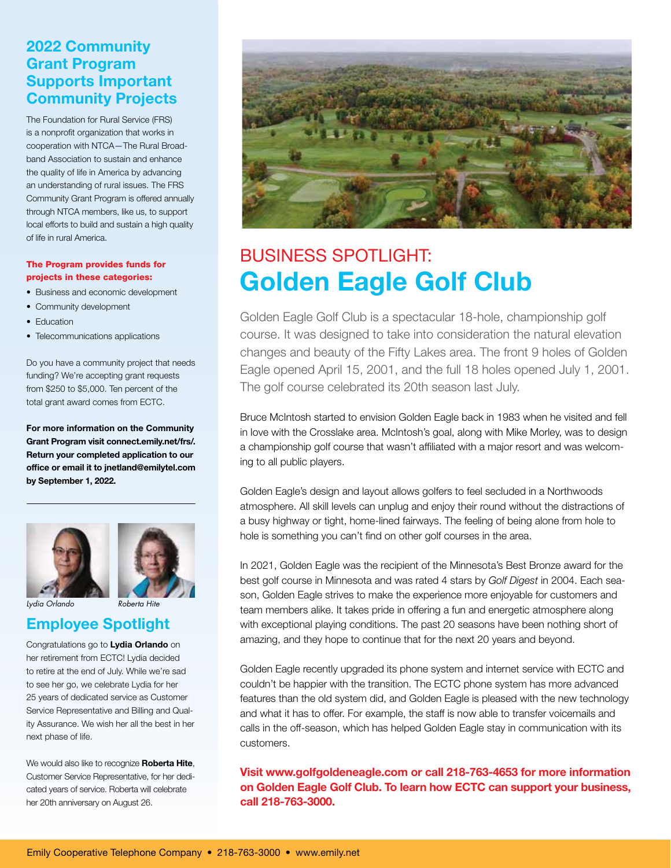### 2022 Community Grant Program Supports Important Community Projects

The Foundation for Rural Service (FRS) is a nonprofit organization that works in cooperation with NTCA—The Rural Broadband Association to sustain and enhance the quality of life in America by advancing an understanding of rural issues. The FRS Community Grant Program is offered annually through NTCA members, like us, to support local efforts to build and sustain a high quality of life in rural America.

#### The Program provides funds for projects in these categories:

- Business and economic development
- Community development
- Education
- Telecommunications applications

Do you have a community project that needs funding? We're accepting grant requests from \$250 to \$5,000. Ten percent of the total grant award comes from ECTC.

For more information on the Community Grant Program visit connect.emily.net/frs/. Return your completed application to our office or email it to jnetland@emilytel.com by September 1, 2022.





### Employee Spotlight *Lydia Orlando Roberta Hite*

Congratulations go to Lydia Orlando on her retirement from ECTC! Lydia decided to retire at the end of July. While we're sad to see her go, we celebrate Lydia for her 25 years of dedicated service as Customer Service Representative and Billing and Quality Assurance. We wish her all the best in her next phase of life.

We would also like to recognize Roberta Hite, Customer Service Representative, for her dedicated years of service. Roberta will celebrate her 20th anniversary on August 26.



## BUSINESS SPOTLIGHT: Golden Eagle Golf Club

Golden Eagle Golf Club is a spectacular 18-hole, championship golf course. It was designed to take into consideration the natural elevation changes and beauty of the Fifty Lakes area. The front 9 holes of Golden Eagle opened April 15, 2001, and the full 18 holes opened July 1, 2001. The golf course celebrated its 20th season last July.

Bruce McIntosh started to envision Golden Eagle back in 1983 when he visited and fell in love with the Crosslake area. McIntosh's goal, along with Mike Morley, was to design a championship golf course that wasn't affiliated with a major resort and was welcoming to all public players.

Golden Eagle's design and layout allows golfers to feel secluded in a Northwoods atmosphere. All skill levels can unplug and enjoy their round without the distractions of a busy highway or tight, home-lined fairways. The feeling of being alone from hole to hole is something you can't find on other golf courses in the area.

In 2021, Golden Eagle was the recipient of the Minnesota's Best Bronze award for the best golf course in Minnesota and was rated 4 stars by *Golf Digest* in 2004. Each season, Golden Eagle strives to make the experience more enjoyable for customers and team members alike. It takes pride in offering a fun and energetic atmosphere along with exceptional playing conditions. The past 20 seasons have been nothing short of amazing, and they hope to continue that for the next 20 years and beyond.

Golden Eagle recently upgraded its phone system and internet service with ECTC and couldn't be happier with the transition. The ECTC phone system has more advanced features than the old system did, and Golden Eagle is pleased with the new technology and what it has to offer. For example, the staff is now able to transfer voicemails and calls in the off-season, which has helped Golden Eagle stay in communication with its customers.

Visit www.golfgoldeneagle.com or call 218-763-4653 for more information on Golden Eagle Golf Club. To learn how ECTC can support your business, call 218-763-3000.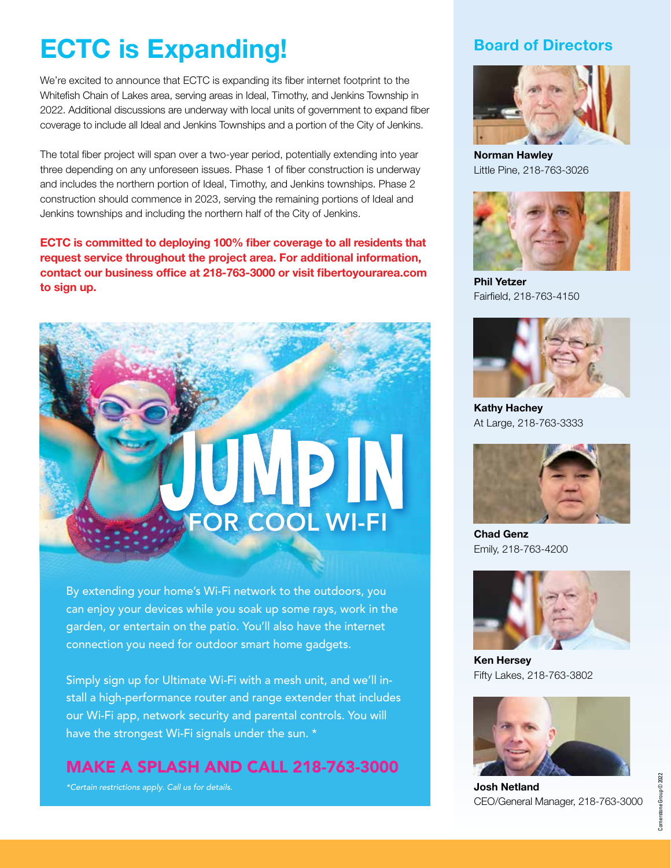## ECTC is Expanding!

We're excited to announce that ECTC is expanding its fiber internet footprint to the Whitefish Chain of Lakes area, serving areas in Ideal, Timothy, and Jenkins Township in 2022. Additional discussions are underway with local units of government to expand fiber coverage to include all Ideal and Jenkins Townships and a portion of the City of Jenkins.

The total fiber project will span over a two-year period, potentially extending into year three depending on any unforeseen issues. Phase 1 of fiber construction is underway and includes the northern portion of Ideal, Timothy, and Jenkins townships. Phase 2 construction should commence in 2023, serving the remaining portions of Ideal and Jenkins townships and including the northern half of the City of Jenkins.

ECTC is committed to deploying 100% fiber coverage to all residents that request service throughout the project area. For additional information, contact our business office at 218-763-3000 or visit fibertoyourarea.com to sign up.



By extending your home's Wi-Fi network to the outdoors, you can enjoy your devices while you soak up some rays, work in the garden, or entertain on the patio. You'll also have the internet connection you need for outdoor smart home gadgets.

Simply sign up for Ultimate Wi-Fi with a mesh unit, and we'll install a high-performance router and range extender that includes our Wi-Fi app, network security and parental controls. You will have the strongest Wi-Fi signals under the sun. \*

MAKE A SPLASH AND CALL 218-763-3000

*\*Certain restrictions apply. Call us for details.*

### Board of Directors



Norman Hawley Little Pine, 218-763-3026



Phil Yetzer Fairfield, 218-763-4150



Kathy Hachey At Large, 218-763-3333



Chad Genz Emily, 218-763-4200



Ken Hersey Fifty Lakes, 218-763-3802



Josh Netland CEO/General Manager, 218-763-3000